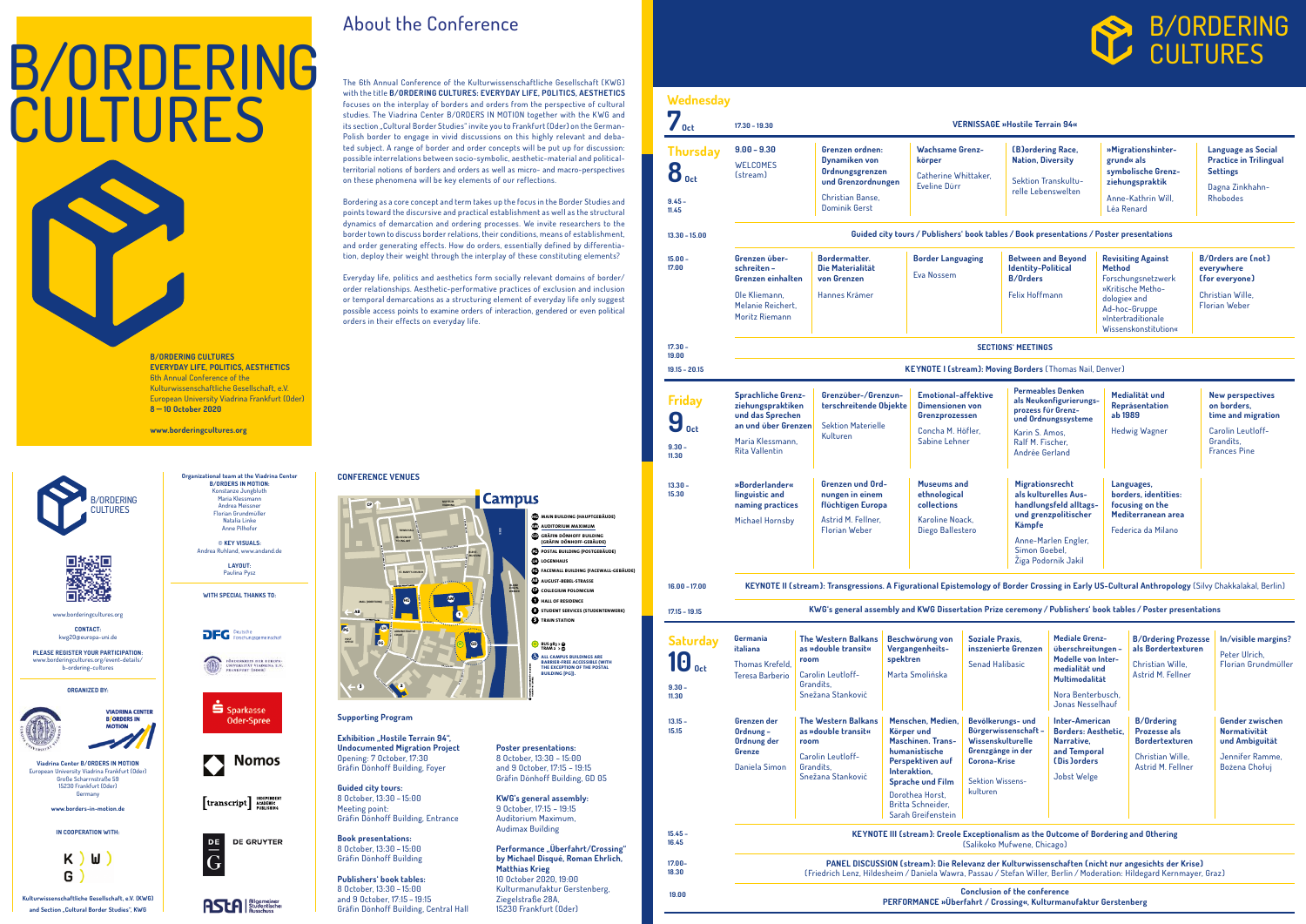Conclusion of the conference PERFORMANCE »Überfahrt / Crossing«, Kulturmanufaktur Gerstenberg

**Friday**  $9<sub>oct</sub>$ 9.30 – 11.30

# Thurs 8 oct  $7_{oct}$ 9.45 – 11.45

| 57<br><b>Oct</b>                                                                                                                 | <b>VERNISSAGE »Hostile Terrain 94«</b><br>$17.30 - 19.30$                                                                                                                                          |                                                                                                                                                                                                                                                          |                                                                                                                                                                                                           |  |                                                                                                                                           |  |                                                                                                                                                                           |  |                                                                                                            |                                                                                                       |                                                                                                                              |  |
|----------------------------------------------------------------------------------------------------------------------------------|----------------------------------------------------------------------------------------------------------------------------------------------------------------------------------------------------|----------------------------------------------------------------------------------------------------------------------------------------------------------------------------------------------------------------------------------------------------------|-----------------------------------------------------------------------------------------------------------------------------------------------------------------------------------------------------------|--|-------------------------------------------------------------------------------------------------------------------------------------------|--|---------------------------------------------------------------------------------------------------------------------------------------------------------------------------|--|------------------------------------------------------------------------------------------------------------|-------------------------------------------------------------------------------------------------------|------------------------------------------------------------------------------------------------------------------------------|--|
| <b>Thursday</b><br>$\mathbf{8}_{\mathrm{0ct}}$<br>$9.45 -$<br>11.45                                                              | $9.00 - 9.30$<br><b>Grenzen ordnen:</b><br><b>Dynamiken von</b><br><b>WELCOMES</b><br>Ordnungsgrenzen<br>(stream)<br>und Grenzordnungen<br><b>Christian Banse.</b><br><b>Dominik Gerst</b>         |                                                                                                                                                                                                                                                          | <b>Wachsame Grenz-</b><br>körper<br>Catherine Whittaker.<br>Eveline Dürr                                                                                                                                  |  | <b>(B)ordering Race,</b><br><b>Nation, Diversity</b><br>Sektion Transkultu-<br>relle Lebenswelten                                         |  | grund« als<br>Léa Renard                                                                                                                                                  |  | »Migrationshinter-<br>symbolische Grenz-<br>ziehungspraktik<br>Anne-Kathrin Will.                          |                                                                                                       | <b>Language as Social</b><br><b>Practice in Trilingual</b><br><b>Settings</b><br>Dagna Zinkhahn-<br><b>Rhobodes</b>          |  |
| $13.30 - 15.00$                                                                                                                  | Guided city tours / Publishers' book tables / Book presentations / Poster presentations                                                                                                            |                                                                                                                                                                                                                                                          |                                                                                                                                                                                                           |  |                                                                                                                                           |  |                                                                                                                                                                           |  |                                                                                                            |                                                                                                       |                                                                                                                              |  |
| $15.00 -$<br>17.00                                                                                                               | <b>Bordermatter.</b><br>Grenzen über-<br>Die Materialität<br>schreiten-<br><b>Grenzen einhalten</b><br>von Grenzen<br>Ole Kliemann,<br>Hannes Krämer<br>Melanie Reichert,<br><b>Moritz Riemann</b> |                                                                                                                                                                                                                                                          | <b>Border Languaging</b><br>Eva Nossem                                                                                                                                                                    |  | <b>Between and Beyond</b><br><b>Identity-Political</b><br><b>B/Orders</b><br><b>Felix Hoffmann</b>                                        |  | <b>Revisiting Against</b><br><b>Method</b><br>Forschungsnetzwerk<br>»Kritische Metho-<br>dologie« and<br>Ad-hoc-Gruppe<br>»Intertraditionale<br>Wissenskonstitution«      |  |                                                                                                            | <b>B/Orders are (not)</b><br>everywhere<br>(for everyone)<br>Christian Wille.<br><b>Florian Weber</b> |                                                                                                                              |  |
| $17.30 -$                                                                                                                        | <b>SECTIONS' MEETINGS</b>                                                                                                                                                                          |                                                                                                                                                                                                                                                          |                                                                                                                                                                                                           |  |                                                                                                                                           |  |                                                                                                                                                                           |  |                                                                                                            |                                                                                                       |                                                                                                                              |  |
| 19.00<br>$19.15 - 20.15$                                                                                                         | <b>KEYNOTE I (stream): Moving Borders (Thomas Nail, Denver)</b>                                                                                                                                    |                                                                                                                                                                                                                                                          |                                                                                                                                                                                                           |  |                                                                                                                                           |  |                                                                                                                                                                           |  |                                                                                                            |                                                                                                       |                                                                                                                              |  |
| <b>Friday</b><br>9<br><b>Oct</b><br>$9.30 -$<br>11.30                                                                            | <b>Sprachliche Grenz-</b><br>ziehungspraktiken<br>und das Sprechen<br>an und über Grenzen<br>Maria Klessmann,<br><b>Rita Vallentin</b>                                                             | Kulturen                                                                                                                                                                                                                                                 | Grenzüber-/Grenzun-<br>terschreitende Objekte<br><b>Sektion Materielle</b>                                                                                                                                |  | <b>Emotional-affektive</b><br><b>Dimensionen von</b><br>Grenzprozessen<br>Concha M. Höfler,<br>Sabine Lehner                              |  | <b>Permeables Denken</b><br>als Neukonfigurierungs-<br>prozess für Grenz-<br>und Ordnungssysteme<br>Karin S. Amos,<br>Ralf M. Fischer.<br>Andrée Gerland                  |  | Medialität und<br>Repräsentation<br>ab 1989<br><b>Hedwig Wagner</b>                                        |                                                                                                       | <b>New perspectives</b><br>on borders,<br>time and migration<br><b>Carolin Leutloff-</b><br>Grandits.<br><b>Frances Pine</b> |  |
| $13.30 -$<br>15.30                                                                                                               | »Borderlander«<br>linguistic and<br>naming practices<br><b>Michael Hornsby</b>                                                                                                                     | Astrid M. Fellner.<br><b>Florian Weber</b>                                                                                                                                                                                                               | <b>Grenzen und Ord-</b><br>nungen in einem<br><b>flüchtigen Europa</b>                                                                                                                                    |  | <b>Museums and</b><br>ethnological<br>collections<br>Karoline Noack.<br>Diego Ballestero                                                  |  | Migrationsrecht<br>als kulturelles Aus-<br>handlungsfeld alltags-<br>und grenzpolitischer<br><b>Kämpfe</b><br>Anne-Marlen Engler,<br>Simon Goebel,<br>Ziga Podornik Jakil |  | Languages,<br>borders, identities:<br>focusing on the<br>Mediterranean area<br>Federica da Milano          |                                                                                                       |                                                                                                                              |  |
| $16.00 - 17.00$                                                                                                                  |                                                                                                                                                                                                    | KEYNOTE II (stream): Transgressions. A Figurational Epistemology of Border Crossing in Early US-Cultural Anthropology (Silvy Chakkalakal, Berlin)                                                                                                        |                                                                                                                                                                                                           |  |                                                                                                                                           |  |                                                                                                                                                                           |  |                                                                                                            |                                                                                                       |                                                                                                                              |  |
| $17.15 - 19.15$                                                                                                                  |                                                                                                                                                                                                    | KWG's general assembly and KWG Dissertation Prize ceremony / Publishers' book tables / Poster presentations                                                                                                                                              |                                                                                                                                                                                                           |  |                                                                                                                                           |  |                                                                                                                                                                           |  |                                                                                                            |                                                                                                       |                                                                                                                              |  |
| <b>Saturday</b><br>$\textcolor{red}{\textbf{10}}_{\textcolor{red}{\textbf{0}}\textcolor{red}{\textbf{ct}}}$<br>$9.30 -$<br>11.30 | Germania<br>italiana<br>Thomas Krefeld,<br><b>Teresa Barberio</b>                                                                                                                                  | <b>The Western Balkans</b><br>as »double transit«<br>room<br><b>Carolin Leutloff-</b><br>Grandits.<br>Snežana Stanković                                                                                                                                  | Beschwörung von<br>Vergangenheits-<br>spektren<br>Marta Smolińska                                                                                                                                         |  | <b>Soziale Praxis,</b><br>inszenierte Grenzen<br><b>Senad Halibasic</b>                                                                   |  | <b>Mediale Grenz-</b><br>überschreitungen -<br>Modelle von Inter-<br>medialität und<br>Multimodalität<br>Nora Benterbusch.<br>Jonas Nesselhauf                            |  | <b>B/Ordering Prozesse</b><br>als Bordertexturen<br>Christian Wille,<br>Astrid M. Fellner                  |                                                                                                       | In/visible margins?<br>Peter Ulrich,<br>Florian Grundmüller                                                                  |  |
| $13.15 -$<br>15.15                                                                                                               | Grenzen der<br>Ordnung-<br>Ordnung der<br><b>Grenze</b><br>Daniela Simon                                                                                                                           | <b>The Western Balkans</b><br>as »double transit«<br>room<br><b>Carolin Leutloff-</b><br>Grandits,<br>Snežana Stanković                                                                                                                                  | Menschen, Medien.<br>Körper und<br><b>Maschinen. Trans-</b><br>humanistische<br>Perspektiven auf<br>Interaktion,<br><b>Sprache und Film</b><br>Dorothea Horst,<br>Britta Schneider,<br>Sarah Greifenstein |  | Bevölkerungs- und<br>Bürgerwissenschaft-<br>Wissenskulturelle<br>Grenzgänge in der<br><b>Corona-Krise</b><br>Sektion Wissens-<br>kulturen |  | <b>Inter-American</b><br><b>Borders: Aesthetic,</b><br>Narrative,<br>and Temporal<br><b>(Dis )orders</b><br>Jobst Welge                                                   |  | <b>B/Ordering</b><br><b>Prozesse als</b><br><b>Bordertexturen</b><br>Christian Wille,<br>Astrid M. Fellner |                                                                                                       | Gender zwischen<br><b>Normativität</b><br>und Ambiguität<br>Jennifer Ramme,<br>Bożena Chołuj                                 |  |
| $15.45 -$<br>16.45                                                                                                               |                                                                                                                                                                                                    |                                                                                                                                                                                                                                                          |                                                                                                                                                                                                           |  |                                                                                                                                           |  | KEYNOTE III (stream): Creole Exceptionalism as the Outcome of Bordering and Othering                                                                                      |  |                                                                                                            |                                                                                                       |                                                                                                                              |  |
| $17.00 -$<br>18.30                                                                                                               |                                                                                                                                                                                                    | (Salikoko Mufwene, Chicago)<br>PANEL DISCUSSION (stream): Die Relevanz der Kulturwissenschaften (nicht nur angesichts der Krise)<br>(Friedrich Lenz, Hildesheim / Daniela Wawra, Passau / Stefan Willer, Berlin / Moderation: Hildegard Kernmayer, Graz) |                                                                                                                                                                                                           |  |                                                                                                                                           |  |                                                                                                                                                                           |  |                                                                                                            |                                                                                                       |                                                                                                                              |  |

# B/ORDERING CULTURES

Kulturwissenschaftliche Gesellschaft, e.V. (KWG) and Section "Cultural Border Studies", KWG

**Exhibition "Hostile Terrain 94",** Undocumented Migration Project Opening: 7 October, 17:30 Gräfin Dönhoff Building, Foyer

> Performance "Überfahrt/Crossing" by Michael Disqué, Roman Ehrlich,

19.00

- **CP** COLLEGIUM POLONICUM
- **2** STUDENT SERVICES (STUDENTENWERK)

# B/ORDERING CULTURES

#### **Wednesday**

B/ORDERING CULTURES EVERYDAY LIFE, POLITICS, AESTHETICS 6th Annual Conference of the Kulturwissenschaftliche Gesellschaft, e.V. European University Viadrina Frankfurt (Oder) 8 — 10 October 2020

www.borderingcultures.org

## About the Conference

The 6th Annual Conference of the Kulturwissenschaftliche Gesellschaft ( KWG ) with the title B/ORDERING CULTURES: EVERYDAY LIFE, POLITICS, AESTHETICS focuses on the interplay of borders and orders from the perspective of cultural studies. The Viadrina Center B/ORDERS IN MOTION together with the KWG and its section "Cultural Border Studies" invite you to Frankfurt (Oder) on the German-Polish border to engage in vivid discussions on this highly relevant and debated subject. A range of border and order concepts will be put up for discussion: possible interrelations between socio-symbolic, aesthetic-material and politicalterritorial notions of borders and orders as well as micro- and macro-perspectives on these phenomena will be key elements of our reflections.

Bordering as a core concept and term takes up the focus in the Border Studies and points toward the discursive and practical establishment as well as the structural dynamics of demarcation and ordering processes. We invite researchers to the border town to discuss border relations, their conditions, means of establishment, and order generating effects. How do orders, essentially defined by differentiation, deploy their weight through the interplay of these constituting elements?

Everyday life, politics and aesthetics form socially relevant domains of border/ order relationships. Aesthetic-performative practices of exclusion and inclusion or temporal demarcations as a structuring element of everyday life only suggest possible access points to examine orders of interaction, gendered or even political orders in their effects on everyday life.

www.borderingcultures.org CONTACT:

kwg20@europa-uni.de

PLEASE REGISTER YOUR PARTICIPATION: www.borderingcultures.org/event-details/ b-ordering-cultures

Viadrina Center B/ORDERS IN MOTION European University Viadrina Frankfurt (Oder) Große Scharrnstraße 59 15230 Frankfurt (Oder) Germany

www.borders-in-motion.de

IN COOPERATION WITH:

K. W G

#### Organizational team at the Viadrina Center B/ORDERS IN MOTION: Konstanze Jungbluth Maria Klessmann Andrea Meissner Florian Grundmüller Natalia Linke Anne Pilhofer

© KEY VISUALS: Andrea Ruhland, www.andand.de

> LAYOUT: Paulina Pysz

WITH SPECIAL THANKS TO:













## **ASLA** Studentischer

#### ORGANIZED BY:

**VIADRINA CENTER B** ORDERS IN

**MOTION** 



#### Supporting Program

Guided city tours: 8 October, 13:30 – 15:00 Meeting point: Gräfin Dönhoff Building, Entrance

Book presentations: 8 October, 13:30 – 15:00 Gräfin Dönhoff Building

Publishers' book tables: 8 October, 13:30 – 15:00 and 9 October, 17:15 – 19:15 Gräfin Dönhoff Building, Central Hall

Poster presentations: 8 October, 13:30 – 15:00 and 9 October, 17:15 – 19:15 Gräfin Dönhoff Building, GD 05

KWG's general assembly: 9 October, 17:15 – 19:15 Auditorium Maximum, Audimax Building

Matthias Krieg 10 October 2020, 19:00 Kulturmanufaktur Gerstenberg, Ziegelstraße 28A, 15230 Frankfurt (Oder)



hg Main BuiLding (hauPtgeBäude)

aM auditoriuM MaxiMuM

fg facewaLL BuiLding (facewaLL-geBäude)

**the Train station** 

gd gräfin-dönhoff-BuiLding

**Li)** Logenhaus

**C** ALL CAMPUS BUILDINGS ARE Barrier-free accessiBLe (with the excePtion of the PostaL BUS 983 > ©<br>TRAM 2 → ©

aB august-BeBeL-strasse

**O** HALL OF RESIDENCE

Pg PostaL BuiLding (PostgeBäude)

(gräfin-dönhoff-geBäude)

BuiLding [Pg]).

#### CONFERENCE VENUES